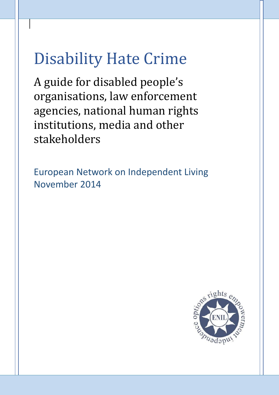# Disability Hate Crime

A guide for disabled people's organisations, law enforcement agencies, national human rights institutions, media and other stakeholders

European Network on Independent Living November 2014

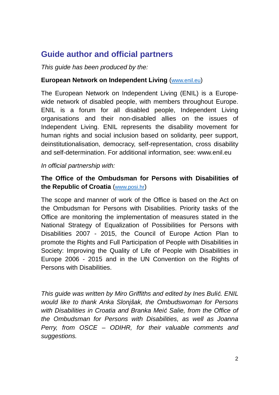# **Guide author and official partners**

*This guide has been produced by the:*

#### **European Network on Independent Living** (www.enil.eu)

The European Network on Independent Living (ENIL) is a Europewide network of disabled people, with members throughout Europe. ENIL is a forum for all disabled people, Independent Living organisations and their non-disabled allies on the issues of Independent Living. ENIL represents the disability movement for human rights and social inclusion based on solidarity, peer support, deinstitutionalisation, democracy, self-representation, cross disability and self-determination. For additional information, see: www.enil.eu

*In official partnership with:*

#### **The Office of the Ombudsman for Persons with Disabilities of the Republic of Croatia** (www.posi.hr)

The scope and manner of work of the Office is based on the Act on the Ombudsman for Persons with Disabilities. Priority tasks of the Office are monitoring the implementation of measures stated in the National Strategy of Equalization of Possibilities for Persons with Disabilities 2007 - 2015, the Council of Europe Action Plan to promote the Rights and Full Participation of People with Disabilities in Society: Improving the Quality of Life of People with Disabilities in Europe 2006 - 2015 and in the UN Convention on the Rights of Persons with Disabilities.

*This guide was written by Miro Griffiths and edited by Ines Bulić. ENIL would like to thank Anka Slonjšak, the Ombudswoman for Persons with Disabilities in Croatia and Branka Meić Salie, from the Office of the Ombudsman for Persons with Disabilities, as well as Joanna Perry, from OSCE – ODIHR, for their valuable comments and suggestions.*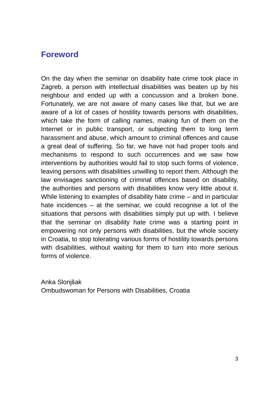#### **Foreword**

On the day when the seminar on disability hate crime took place in Zagreb, a person with intellectual disabilities was beaten up by his neighbour and ended up with a concussion and a broken bone. Fortunately, we are not aware of many cases like that, but we are aware of a lot of cases of hostility towards persons with disabilities, which take the form of calling names, making fun of them on the Internet or in public transport, or subjecting them to long term harassment and abuse, which amount to criminal offences and cause a great deal of suffering. So far, we have not had proper tools and mechanisms to respond to such occurrences and we saw how interventions by authorities would fail to stop such forms of violence, leaving persons with disabilities unwilling to report them. Although the law envisages sanctioning of criminal offences based on disability, the authorities and persons with disabilities know very little about it. While listening to examples of disability hate crime – and in particular hate incidences – at the seminar, we could recognise a lot of the situations that persons with disabilities simply put up with. I believe that the seminar on disability hate crime was a starting point in empowering not only persons with disabilities, but the whole society in Croatia, to stop tolerating various forms of hostility towards persons with disabilities, without waiting for them to turn into more serious forms of violence.

Anka Slonjšak Ombudswoman for Persons with Disabilities, Croatia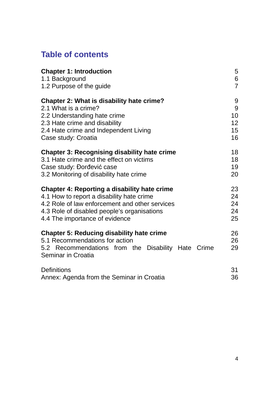# **Table of contents**

| <b>Chapter 1: Introduction</b>                                                                                                                                 | 5              |
|----------------------------------------------------------------------------------------------------------------------------------------------------------------|----------------|
| 1.1 Background                                                                                                                                                 | $\,6\,$        |
| 1.2 Purpose of the guide                                                                                                                                       | $\overline{7}$ |
| <b>Chapter 2: What is disability hate crime?</b>                                                                                                               | 9              |
| 2.1 What is a crime?                                                                                                                                           | 9              |
| 2.2 Understanding hate crime                                                                                                                                   | 10             |
| 2.3 Hate crime and disability                                                                                                                                  | 12             |
| 2.4 Hate crime and Independent Living                                                                                                                          | 15             |
| Case study: Croatia                                                                                                                                            | 16             |
| <b>Chapter 3: Recognising disability hate crime</b>                                                                                                            | 18             |
| 3.1 Hate crime and the effect on victims                                                                                                                       | 18             |
| Case study: Đorđević case                                                                                                                                      | 19             |
| 3.2 Monitoring of disability hate crime                                                                                                                        | 20             |
| <b>Chapter 4: Reporting a disability hate crime</b>                                                                                                            | 23             |
| 4.1 How to report a disability hate crime                                                                                                                      | 24             |
| 4.2 Role of law enforcement and other services                                                                                                                 | 24             |
| 4.3 Role of disabled people's organisations                                                                                                                    | 24             |
| 4.4 The importance of evidence                                                                                                                                 | 25             |
| <b>Chapter 5: Reducing disability hate crime</b><br>5.1 Recommendations for action<br>5.2 Recommendations from the Disability Hate Crime<br>Seminar in Croatia | 26<br>26<br>29 |
| <b>Definitions</b>                                                                                                                                             | 31             |
| Annex: Agenda from the Seminar in Croatia                                                                                                                      | 36             |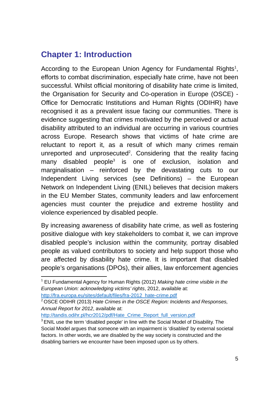# **Chapter 1: Introduction**

According to the European Union Agency for Fundamental Rights<sup>1</sup>, efforts to combat discrimination, especially hate crime, have not been successful. Whilst official monitoring of disability hate crime is limited, the Organisation for Security and Co-operation in Europe (OSCE) - Office for Democratic Institutions and Human Rights (ODIHR) have recognised it as a prevalent issue facing our communities. There is evidence suggesting that crimes motivated by the perceived or actual disability attributed to an individual are occurring in various countries across Europe. Research shows that victims of hate crime are reluctant to report it, as a result of which many crimes remain unreported and unprosecuted<sup>2</sup>. Considering that the reality facing many disabled people<sup>3</sup> is one of exclusion, isolation and marginalisation – reinforced by the devastating cuts to our Independent Living services (see Definitions) – the European Network on Independent Living (ENIL) believes that decision makers in the EU Member States, community leaders and law enforcement agencies must counter the prejudice and extreme hostility and violence experienced by disabled people.

By increasing awareness of disability hate crime, as well as fostering positive dialogue with key stakeholders to combat it, we can improve disabled people's inclusion within the community, portray disabled people as valued contributors to society and help support those who are affected by disability hate crime. It is important that disabled people's organisations (DPOs), their allies, law enforcement agencies

http://fra.europa.eu/sites/default/files/fra-2012\_hate-crime.pdf

http://tandis.odihr.pl/hcr2012/pdf/Hate\_Crime\_Report\_full\_version.pdf

<sup>1</sup> EU Fundamental Agency for Human Rights (2012) *Making hate crime visible in the European Union: acknowledging victims' rights*, 2012, available at:

<sup>2</sup> OSCE ODIHR (2013) *Hate Crimes in the OSCE Region: Incidents and Responses, Annual Report for 2012*, available at:

<sup>&</sup>lt;sup>3</sup> ENIL use the term 'disabled people' in line with the Social Model of Disability. The Social Model argues that someone with an impairment is 'disabled' by external societal factors. In other words, we are disabled by the way society is constructed and the disabling barriers we encounter have been imposed upon us by others.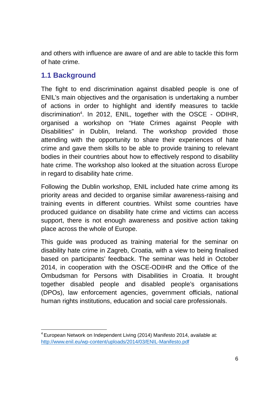and others with influence are aware of and are able to tackle this form of hate crime.

#### **1.1 Background**

The fight to end discrimination against disabled people is one of ENIL's main objectives and the organisation is undertaking a number of actions in order to highlight and identify measures to tackle discrimination<sup>4</sup> . In 2012, ENIL, together with the OSCE - ODIHR, organised a workshop on "Hate Crimes against People with Disabilities" in Dublin, Ireland. The workshop provided those attending with the opportunity to share their experiences of hate crime and gave them skills to be able to provide training to relevant bodies in their countries about how to effectively respond to disability hate crime. The workshop also looked at the situation across Europe in regard to disability hate crime.

Following the Dublin workshop, ENIL included hate crime among its priority areas and decided to organise similar awareness-raising and training events in different countries. Whilst some countries have produced guidance on disability hate crime and victims can access support, there is not enough awareness and positive action taking place across the whole of Europe.

This guide was produced as training material for the seminar on disability hate crime in Zagreb, Croatia, with a view to being finalised based on participants' feedback. The seminar was held in October 2014, in cooperation with the OSCE-ODIHR and the Office of the Ombudsman for Persons with Disabilities in Croatia. It brought together disabled people and disabled people's organisations (DPOs), law enforcement agencies, government officials, national human rights institutions, education and social care professionals.

<sup>4</sup> European Network on Independent Living (2014) Manifesto 2014, available at: http://www.enil.eu/wp-content/uploads/2014/03/ENIL-Manifesto.pdf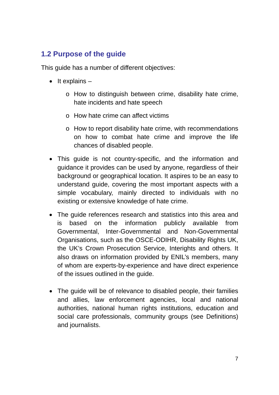## **1.2 Purpose of the guide**

This guide has a number of different objectives:

- $\bullet$  It explains  $$ 
	- o How to distinguish between crime, disability hate crime, hate incidents and hate speech
	- o How hate crime can affect victims
	- o How to report disability hate crime, with recommendations on how to combat hate crime and improve the life chances of disabled people.
- This guide is not country-specific, and the information and guidance it provides can be used by anyone, regardless of their background or geographical location. It aspires to be an easy to understand guide, covering the most important aspects with a simple vocabulary, mainly directed to individuals with no existing or extensive knowledge of hate crime.
- The guide references research and statistics into this area and is based on the information publicly available from Governmental, Inter-Governmental and Non-Governmental Organisations, such as the OSCE-ODIHR, Disability Rights UK, the UK's Crown Prosecution Service, Interights and others. It also draws on information provided by ENIL's members, many of whom are experts-by-experience and have direct experience of the issues outlined in the guide.
- The quide will be of relevance to disabled people, their families and allies, law enforcement agencies, local and national authorities, national human rights institutions, education and social care professionals, community groups (see Definitions) and journalists.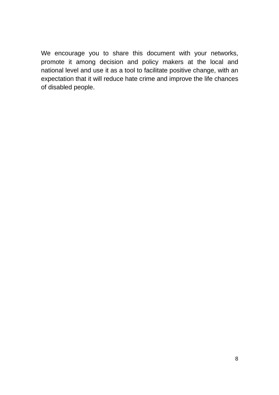We encourage you to share this document with your networks, promote it among decision and policy makers at the local and national level and use it as a tool to facilitate positive change, with an expectation that it will reduce hate crime and improve the life chances of disabled people.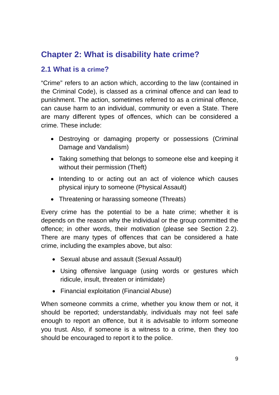# **Chapter 2: What is disability hate crime?**

## **2.1 What is a crime?**

"Crime" refers to an action which, according to the law (contained in the Criminal Code), is classed as a criminal offence and can lead to punishment. The action, sometimes referred to as a criminal offence, can cause harm to an individual, community or even a State. There are many different types of offences, which can be considered a crime. These include:

- Destroying or damaging property or possessions (Criminal Damage and Vandalism)
- Taking something that belongs to someone else and keeping it without their permission (Theft)
- Intending to or acting out an act of violence which causes physical injury to someone (Physical Assault)
- Threatening or harassing someone (Threats)

Every crime has the potential to be a hate crime; whether it is depends on the reason why the individual or the group committed the offence; in other words, their motivation (please see Section 2.2). There are many types of offences that can be considered a hate crime, including the examples above, but also:

- Sexual abuse and assault (Sexual Assault)
- Using offensive language (using words or gestures which ridicule, insult, threaten or intimidate)
- Financial exploitation (Financial Abuse)

When someone commits a crime, whether you know them or not, it should be reported; understandably, individuals may not feel safe enough to report an offence, but it is advisable to inform someone you trust. Also, if someone is a witness to a crime, then they too should be encouraged to report it to the police.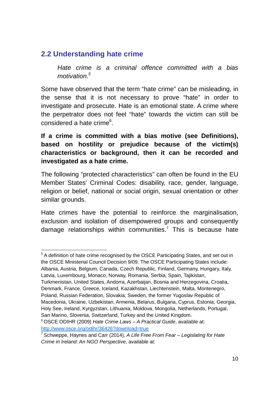## **2.2 Understanding hate crime**

*Hate crime is a criminal offence committed with a bias motivation.<sup>5</sup>*

Some have observed that the term "hate crime" can be misleading, in the sense that it is not necessary to prove "hate" in order to investigate and prosecute. Hate is an emotional state. A crime where the perpetrator does not feel "hate" towards the victim can still be considered a hate crime<sup>6</sup>.

#### **If a crime is committed with a bias motive (see Definitions), based on hostility or prejudice because of the victim(s) characteristics or background, then it can be recorded and investigated as a hate crime.**

The following "protected characteristics" can often be found in the EU Member States' Criminal Codes: disability, race, gender, language, religion or belief, national or social origin, sexual orientation or other similar grounds.

Hate crimes have the potential to reinforce the marginalisation, exclusion and isolation of disempowered groups and consequently damage relationships within communities.<sup>7</sup> This is because hate

<sup>5</sup> A definition of hate crime recognised by the OSCE Participating States, and set out in the OSCE Ministerial Council Decision 9/09. The OSCE Participating States include: Albania, Austria, Belgium, Canada, Czech Republic, Finland, Germany, Hungary, Italy, Latvia, Luxembourg, Monaco, Norway, Romania, Serbia, Spain, Tajikistan, Turkmenistan, United States, Andorra, Azerbaijan, Bosnia and Herzegovina, Croatia,

Denmark, France, Greece, Iceland, Kazakhstan, Liechtenstein, Malta, Montenegro, Poland, Russian Federation, Slovakia, Sweden, the former Yugoslav Republic of Macedonia, Ukraine, Uzbekistan, Armenia, Belarus, Bulgaria, Cyprus, Estonia, Georgia, Holy See, Ireland, Kyrgyzstan, Lithuania, Moldova, Mongolia, Netherlands, Portugal, San Marino, Slovenia, Switzerland, Turkey and the United Kingdom.

<sup>6</sup> OSCE ODIHR (2009) *Hate Crime Laws – A Practical Guide*, available at: http://www.osce.org/odihr/36426?download=true

<sup>7</sup> Schweppe, Haynes and Carr (2014), *A Life Free From Fear – Legislating for Hate Crime in Ireland: An NGO Perspective*, available at: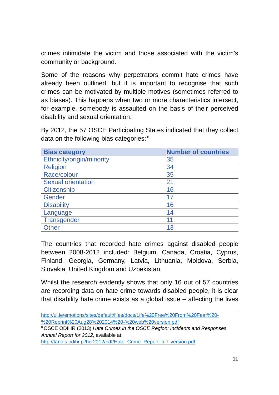crimes intimidate the victim and those associated with the victim's community or background.

Some of the reasons why perpetrators commit hate crimes have already been outlined, but it is important to recognise that such crimes can be motivated by multiple motives (sometimes referred to as biases). This happens when two or more characteristics intersect, for example, somebody is assaulted on the basis of their perceived disability and sexual orientation.

By 2012, the 57 OSCE Participating States indicated that they collect data on the following bias categories: <sup>8</sup>

| <b>Bias category</b>      | <b>Number of countries</b> |
|---------------------------|----------------------------|
| Ethnicity/origin/minority | 35                         |
| <b>Religion</b>           | 34                         |
| Race/colour               | 35                         |
| <b>Sexual orientation</b> | 21                         |
| <b>Citizenship</b>        | 16                         |
| Gender                    | 17                         |
| <b>Disability</b>         | 16                         |
| Language                  | 14                         |
| Transgender               | 11                         |
| <b>Other</b>              | 13                         |

The countries that recorded hate crimes against disabled people between 2008-2012 included: Belgium, Canada, Croatia, Cyprus, Finland, Georgia, Germany, Latvia, Lithuania, Moldova, Serbia, Slovakia, United Kingdom and Uzbekistan.

Whilst the research evidently shows that only 16 out of 57 countries are recording data on hate crime towards disabled people, it is clear that disability hate crime exists as a global issue – affecting the lives

http://ul.ie/emotions/sites/default/files/docs/Life%20Free%20From%20Fear%20- %20Reprint%20Aug28%202014%20-%20web%20version.pdf

http://tandis.odihr.pl/hcr2012/pdf/Hate\_Crime\_Report\_full\_version.pdf

<sup>8</sup> OSCE ODIHR (2013) *Hate Crimes in the OSCE Region: Incidents and Responses, Annual Report for 2012*, available at: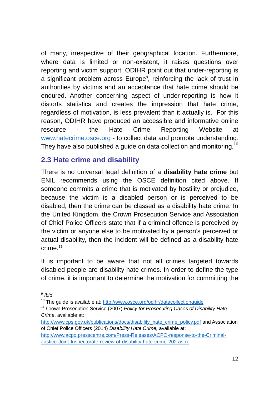of many, irrespective of their geographical location. Furthermore, where data is limited or non-existent, it raises questions over reporting and victim support. ODIHR point out that under-reporting is a significant problem across Europe<sup>9</sup>, reinforcing the lack of trust in authorities by victims and an acceptance that hate crime should be endured. Another concerning aspect of under-reporting is how it distorts statistics and creates the impression that hate crime, regardless of motivation, is less prevalent than it actually is. For this reason, ODIHR have produced an accessible and informative online resource - the Hate Crime Reporting Website at www.hatecrime.osce.org - to collect data and promote understanding. They have also published a guide on data collection and monitoring. $^{10}$ 

#### **2.3 Hate crime and disability**

There is no universal legal definition of a **disability hate crime** but ENIL recommends using the OSCE definition cited above. If someone commits a crime that is motivated by hostility or prejudice, because the victim is a disabled person or is perceived to be disabled, then the crime can be classed as a disability hate crime. In the United Kingdom, the Crown Prosecution Service and Association of Chief Police Officers state that if a criminal offence is perceived by the victim or anyone else to be motivated by a person's perceived or actual disability, then the incident will be defined as a disability hate crime. 11

It is important to be aware that not all crimes targeted towards disabled people are disability hate crimes. In order to define the type of crime, it is important to determine the motivation for committing the

<sup>9</sup> *Ibid*

<sup>&</sup>lt;sup>10</sup> The quide is available at: http://www.osce.org/odihr/datacollectionguide

<sup>&</sup>lt;sup>11</sup> Crown Prosecution Service (2007) *Policy for Prosecuting Cases of Disability Hate Crime*, available at:

http://www.cps.gov.uk/publications/docs/disability\_hate\_crime\_policy.pdf and Association of Chief Police Officers (2014) *Disability Hate Crime,* available at:

http://www.acpo.presscentre.com/Press-Releases/ACPO-response-to-the-Criminal-Justice-Joint-Inspectorate-review-of-disability-hate-crime-202.aspx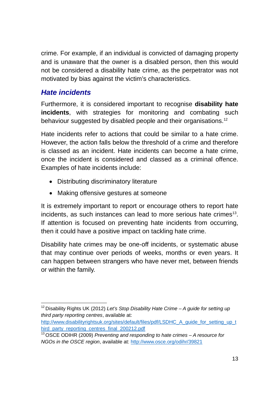crime. For example, if an individual is convicted of damaging property and is unaware that the owner is a disabled person, then this would not be considered a disability hate crime, as the perpetrator was not motivated by bias against the victim's characteristics.

## *Hate incidents*

Furthermore, it is considered important to recognise **disability hate incidents**, with strategies for monitoring and combating such behaviour suggested by disabled people and their organisations.<sup>12</sup>

Hate incidents refer to actions that could be similar to a hate crime. However, the action falls below the threshold of a crime and therefore is classed as an incident. Hate incidents can become a hate crime, once the incident is considered and classed as a criminal offence. Examples of hate incidents include:

- Distributing discriminatory literature
- Making offensive gestures at someone

It is extremely important to report or encourage others to report hate incidents, as such instances can lead to more serious hate crimes<sup>13</sup>. If attention is focused on preventing hate incidents from occurring, then it could have a positive impact on tackling hate crime.

Disability hate crimes may be one-off incidents, or systematic abuse that may continue over periods of weeks, months or even years. It can happen between strangers who have never met, between friends or within the family.

<sup>12</sup> Disability Rights UK (2012) *Let's Stop Disability Hate Crime – A guide for setting up third party reporting centres*, available at:

http://www.disabilityrightsuk.org/sites/default/files/pdf/LSDHC\_A\_guide\_for\_setting\_up\_t\_ hird\_party\_reporting\_centres\_final\_200212.pdf

<sup>13</sup> OSCE ODIHR (2009) *Preventing and responding to hate crimes – A resource for NGOs in the OSCE region*, available at: http://www.osce.org/odihr/39821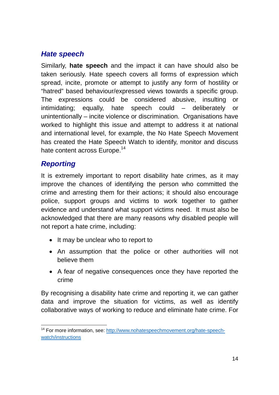## *Hate speech*

Similarly, **hate speech** and the impact it can have should also be taken seriously. Hate speech covers all forms of expression which spread, incite, promote or attempt to justify any form of hostility or "hatred" based behaviour/expressed views towards a specific group. The expressions could be considered abusive, insulting or intimidating; equally, hate speech could – deliberately or unintentionally – incite violence or discrimination. Organisations have worked to highlight this issue and attempt to address it at national and international level, for example, the No Hate Speech Movement has created the Hate Speech Watch to identify, monitor and discuss hate content across Europe.<sup>14</sup>

## *Reporting*

It is extremely important to report disability hate crimes, as it may improve the chances of identifying the person who committed the crime and arresting them for their actions; it should also encourage police, support groups and victims to work together to gather evidence and understand what support victims need. It must also be acknowledged that there are many reasons why disabled people will not report a hate crime, including:

- It may be unclear who to report to
- An assumption that the police or other authorities will not believe them
- A fear of negative consequences once they have reported the crime

By recognising a disability hate crime and reporting it, we can gather data and improve the situation for victims, as well as identify collaborative ways of working to reduce and eliminate hate crime. For

<sup>&</sup>lt;sup>14</sup> For more information, see: http://www.nohatespeechmovement.org/hate-speechwatch/instructions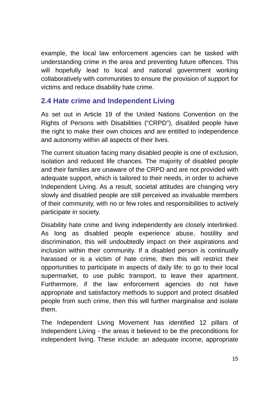example, the local law enforcement agencies can be tasked with understanding crime in the area and preventing future offences. This will hopefully lead to local and national government working collaboratively with communities to ensure the provision of support for victims and reduce disability hate crime.

## **2.4 Hate crime and Independent Living**

As set out in Article 19 of the United Nations Convention on the Rights of Persons with Disabilities ("CRPD"), disabled people have the right to make their own choices and are entitled to independence and autonomy within all aspects of their lives.

The current situation facing many disabled people is one of exclusion, isolation and reduced life chances. The majority of disabled people and their families are unaware of the CRPD and are not provided with adequate support, which is tailored to their needs, in order to achieve Independent Living. As a result, societal attitudes are changing very slowly and disabled people are still perceived as invaluable members of their community, with no or few roles and responsibilities to actively participate in society.

Disability hate crime and living independently are closely interlinked. As long as disabled people experience abuse, hostility and discrimination, this will undoubtedly impact on their aspirations and inclusion within their community. If a disabled person is continually harassed or is a victim of hate crime, then this will restrict their opportunities to participate in aspects of daily life: to go to their local supermarket, to use public transport, to leave their apartment. Furthermore, if the law enforcement agencies do not have appropriate and satisfactory methods to support and protect disabled people from such crime, then this will further marginalise and isolate them.

The Independent Living Movement has identified 12 pillars of Independent Living - the areas it believed to be the preconditions for independent living. These include: an adequate income, appropriate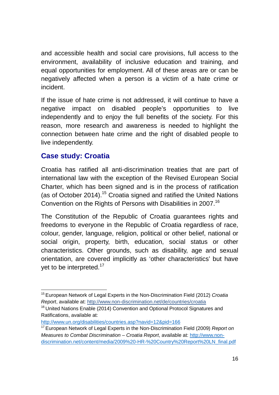and accessible health and social care provisions, full access to the environment, availability of inclusive education and training, and equal opportunities for employment. All of these areas are or can be negatively affected when a person is a victim of a hate crime or incident.

If the issue of hate crime is not addressed, it will continue to have a negative impact on disabled people's opportunities to live independently and to enjoy the full benefits of the society. For this reason, more research and awareness is needed to highlight the connection between hate crime and the right of disabled people to live independently.

## **Case study: Croatia**

Croatia has ratified all anti-discrimination treaties that are part of international law with the exception of the Revised European Social Charter, which has been signed and is in the process of ratification (as of October 2014).<sup>15</sup> Croatia signed and ratified the United Nations Convention on the Rights of Persons with Disabilities in 2007.<sup>16</sup>

The Constitution of the Republic of Croatia guarantees rights and freedoms to everyone in the Republic of Croatia regardless of race, colour, gender, language, religion, political or other belief, national or social origin, property, birth, education, social status or other characteristics. Other grounds, such as disability, age and sexual orientation, are covered implicitly as 'other characteristics' but have yet to be interpreted.<sup>17</sup>

<sup>15</sup> European Network of Legal Experts in the Non-Discrimination Field (2012) *Croatia Report*, available at: http://www.non-discrimination.net/de/countries/croatia

<sup>&</sup>lt;sup>16</sup> United Nations Enable (2014) Convention and Optional Protocol Signatures and Ratifications, available at:

http://www.un.org/disabilities/countries.asp?navid=12&pid=166

<sup>17</sup> European Network of Legal Experts in the Non-Discrimination Field (2009) *Report on Measures to Combat Discrimination – Croatia Report*, available at: http://www.nondiscrimination.net/content/media/2009%20-HR-%20Country%20Report%20LN\_final.pdf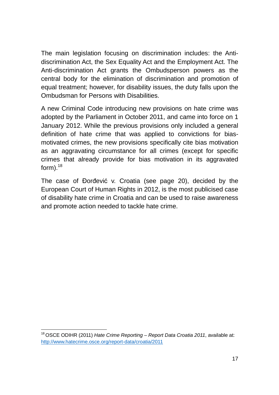The main legislation focusing on discrimination includes: the Antidiscrimination Act, the Sex Equality Act and the Employment Act. The Anti-discrimination Act grants the Ombudsperson powers as the central body for the elimination of discrimination and promotion of equal treatment; however, for disability issues, the duty falls upon the Ombudsman for Persons with Disabilities.

A new Criminal Code introducing new provisions on hate crime was adopted by the Parliament in October 2011, and came into force on 1 January 2012. While the previous provisions only included a general definition of hate crime that was applied to convictions for biasmotivated crimes, the new provisions specifically cite bias motivation as an aggravating circumstance for all crimes (except for specific crimes that already provide for bias motivation in its aggravated form). $^{18}$ 

The case of Đorđević v. Croatia (see page 20), decided by the European Court of Human Rights in 2012, is the most publicised case of disability hate crime in Croatia and can be used to raise awareness and promote action needed to tackle hate crime.

<sup>18</sup> OSCE ODIHR (2011) *Hate Crime Reporting – Report Data Croatia 2011*, available at: http://www.hatecrime.osce.org/report-data/croatia/2011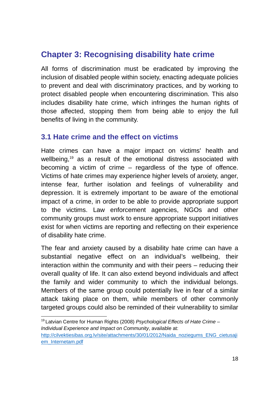# **Chapter 3: Recognising disability hate crime**

All forms of discrimination must be eradicated by improving the inclusion of disabled people within society, enacting adequate policies to prevent and deal with discriminatory practices, and by working to protect disabled people when encountering discrimination. This also includes disability hate crime, which infringes the human rights of those affected, stopping them from being able to enjoy the full benefits of living in the community.

#### **3.1 Hate crime and the effect on victims**

Hate crimes can have a major impact on victims' health and wellbeing, <sup>19</sup> as a result of the emotional distress associated with becoming a victim of crime – regardless of the type of offence. Victims of hate crimes may experience higher levels of anxiety, anger, intense fear, further isolation and feelings of vulnerability and depression. It is extremely important to be aware of the emotional impact of a crime, in order to be able to provide appropriate support to the victims. Law enforcement agencies, NGOs and other community groups must work to ensure appropriate support initiatives exist for when victims are reporting and reflecting on their experience of disability hate crime.

The fear and anxiety caused by a disability hate crime can have a substantial negative effect on an individual's wellbeing, their interaction within the community and with their peers – reducing their overall quality of life. It can also extend beyond individuals and affect the family and wider community to which the individual belongs. Members of the same group could potentially live in fear of a similar attack taking place on them, while members of other commonly targeted groups could also be reminded of their vulnerability to similar

<sup>19</sup> Latvian Centre for Human Rights (2008) *Psychological Effects of Hate Crime – Individual Experience and Impact on Community*, available at: http://cilvektiesibas.org.lv/site/attachments/30/01/2012/Naida\_noziegums\_ENG\_cietusaji em\_Internetam.pdf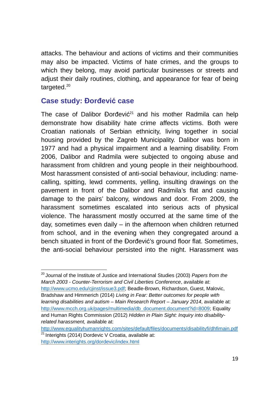attacks. The behaviour and actions of victims and their communities may also be impacted. Victims of hate crimes, and the groups to which they belong, may avoid particular businesses or streets and adjust their daily routines, clothing, and appearance for fear of being targeted.<sup>20</sup>

#### **Case study: Đorđević case**

The case of Dalibor Đorđević<sup>21</sup> and his mother Radmila can help demonstrate how disability hate crime affects victims. Both were Croatian nationals of Serbian ethnicity, living together in social housing provided by the Zagreb Municipality. Dalibor was born in 1977 and had a physical impairment and a learning disability. From 2006, Dalibor and Radmila were subjected to ongoing abuse and harassment from children and young people in their neighbourhood. Most harassment consisted of anti-social behaviour, including: namecalling, spitting, lewd comments, yelling, insulting drawings on the pavement in front of the Dalibor and Radmila's flat and causing damage to the pairs' balcony, windows and door. From 2009, the harassment sometimes escalated into serious acts of physical violence. The harassment mostly occurred at the same time of the day, sometimes even daily – in the afternoon when children returned from school, and in the evening when they congregated around a bench situated in front of the Đorđević's ground floor flat. Sometimes, the anti-social behaviour persisted into the night. Harassment was

<sup>20</sup> Journal of the Institute of Justice and International Studies (2003) *Papers from the March 2003 - Counter-Terrorism and Civil Liberties Conference*, available at: http://www.ucmo.edu/cjinst/issue3.pdf; Beadle-Brown, Richardson, Guest, Malovic, Bradshaw and Himmerich (2014) *Living in Fear: Better outcomes for people with learning disabilities and autism – Main Research Report – January 2014*, available at: http://www.mcch.org.uk/pages/multimedia/db\_document.document?id=8009; Equality and Human Rights Commission (2012) *Hidden in Plain Sight: Inquiry into disabilityrelated harassment,* available at:

http://www.equalityhumanrights.com/sites/default/files/documents/disabilityfi/dhfimain.pdf  $21$  Interights (2014) Dordevic V Croatia, available at: http://www.interights.org/dordevic/index.html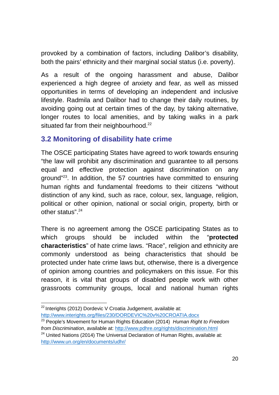provoked by a combination of factors, including Dalibor's disability, both the pairs' ethnicity and their marginal social status (i.e. poverty).

As a result of the ongoing harassment and abuse, Dalibor experienced a high degree of anxiety and fear, as well as missed opportunities in terms of developing an independent and inclusive lifestyle. Radmila and Dalibor had to change their daily routines, by avoiding going out at certain times of the day, by taking alternative, longer routes to local amenities, and by taking walks in a park situated far from their neighbourhood.<sup>22</sup>

## **3.2 Monitoring of disability hate crime**

The OSCE participating States have agreed to work towards ensuring "the law will prohibit any discrimination and guarantee to all persons equal and effective protection against discrimination on any ground"<sup>23</sup>. In addition, the 57 countries have committed to ensuring human rights and fundamental freedoms to their citizens "without distinction of any kind, such as race, colour, sex, language, religion, political or other opinion, national or social origin, property, birth or other status".<sup>24</sup>

There is no agreement among the OSCE participating States as to which groups should be included within the "**protected characteristics**" of hate crime laws. "Race", religion and ethnicity are commonly understood as being characteristics that should be protected under hate crime laws but, otherwise, there is a divergence of opinion among countries and policymakers on this issue. For this reason, it is vital that groups of disabled people work with other grassroots community groups, local and national human rights

 $22$  Interights (2012) Dordevic V Croatia Judgement, available at: http://www.interights.org/files/230/DORDEVIC%20v%20CROATIA.docx

<sup>23</sup> People's Movement for Human Rights Education (2014) *Human Right to Freedom from Discrimination*, available at: http://www.pdhre.org/rights/discrimination.html

 $24$  United Nations (2014) The Universal Declaration of Human Rights, available at: http://www.un.org/en/documents/udhr/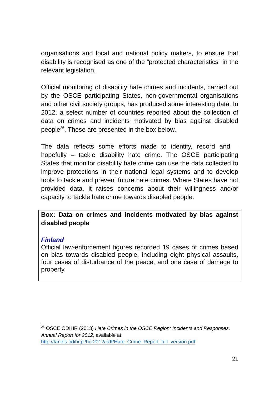organisations and local and national policy makers, to ensure that disability is recognised as one of the "protected characteristics" in the relevant legislation.

Official monitoring of disability hate crimes and incidents, carried out by the OSCE participating States, non-governmental organisations and other civil society groups, has produced some interesting data. In 2012, a select number of countries reported about the collection of data on crimes and incidents motivated by bias against disabled people<sup>25</sup>. These are presented in the box below.

The data reflects some efforts made to identify, record and – hopefully – tackle disability hate crime. The OSCE participating States that monitor disability hate crime can use the data collected to improve protections in their national legal systems and to develop tools to tackle and prevent future hate crimes. Where States have not provided data, it raises concerns about their willingness and/or capacity to tackle hate crime towards disabled people.

**Box: Data on crimes and incidents motivated by bias against disabled people**

#### *Finland*

Official law-enforcement figures recorded 19 cases of crimes based on bias towards disabled people, including eight physical assaults, four cases of disturbance of the peace, and one case of damage to property.

<sup>25</sup> OSCE ODIHR (2013) *Hate Crimes in the OSCE Region: Incidents and Responses, Annual Report for 2012*, available at: http://tandis.odihr.pl/hcr2012/pdf/Hate\_Crime\_Report\_full\_version.pdf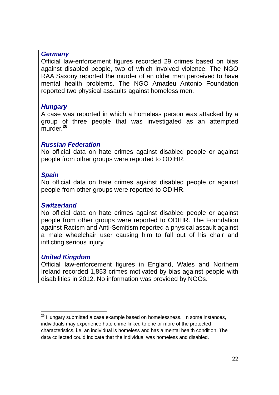#### *Germany*

Official law-enforcement figures recorded 29 crimes based on bias against disabled people, two of which involved violence. The NGO RAA Saxony reported the murder of an older man perceived to have mental health problems. The NGO Amadeu Antonio Foundation reported two physical assaults against homeless men.

#### *Hungary*

A case was reported in which a homeless person was attacked by a group of three people that was investigated as an attempted murder.**<sup>26</sup>**

#### *Russian Federation*

No official data on hate crimes against disabled people or against people from other groups were reported to ODIHR.

#### *Spain*

No official data on hate crimes against disabled people or against people from other groups were reported to ODIHR.

#### *Switzerland*

No official data on hate crimes against disabled people or against people from other groups were reported to ODIHR. The Foundation against Racism and Anti-Semitism reported a physical assault against a male wheelchair user causing him to fall out of his chair and inflicting serious injury.

#### *United Kingdom*

Official law-enforcement figures in England, Wales and Northern Ireland recorded 1,853 crimes motivated by bias against people with disabilities in 2012. No information was provided by NGOs.

 $26$  Hungary submitted a case example based on homelessness. In some instances, individuals may experience hate crime linked to one or more of the protected characteristics, i.e. an individual is homeless and has a mental health condition. The data collected could indicate that the individual was homeless and disabled.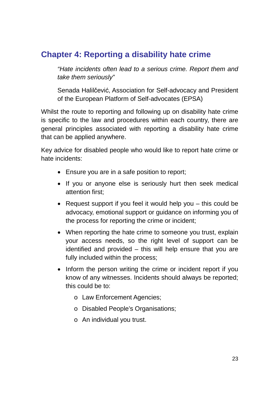# **Chapter 4: Reporting a disability hate crime**

*"Hate incidents often lead to a serious crime. Report them and take them seriously"*

Senada Halilčević, Association for Self-advocacy and President of the European Platform of Self-advocates (EPSA)

Whilst the route to reporting and following up on disability hate crime is specific to the law and procedures within each country, there are general principles associated with reporting a disability hate crime that can be applied anywhere.

Key advice for disabled people who would like to report hate crime or hate incidents:

- Ensure you are in a safe position to report:
- If you or anyone else is seriously hurt then seek medical attention first;
- Request support if you feel it would help you this could be advocacy, emotional support or guidance on informing you of the process for reporting the crime or incident;
- When reporting the hate crime to someone you trust, explain your access needs, so the right level of support can be identified and provided – this will help ensure that you are fully included within the process;
- Inform the person writing the crime or incident report if you know of any witnesses. Incidents should always be reported; this could be to:
	- o Law Enforcement Agencies;
	- o Disabled People's Organisations;
	- o An individual you trust.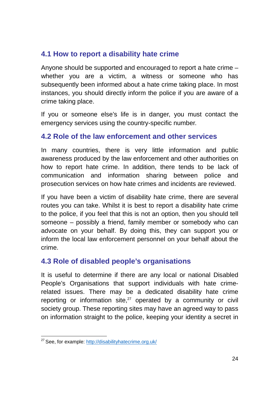## **4.1 How to report a disability hate crime**

Anyone should be supported and encouraged to report a hate crime – whether you are a victim, a witness or someone who has subsequently been informed about a hate crime taking place. In most instances, you should directly inform the police if you are aware of a crime taking place.

If you or someone else's life is in danger, you must contact the emergency services using the country-specific number.

## **4.2 Role of the law enforcement and other services**

In many countries, there is very little information and public awareness produced by the law enforcement and other authorities on how to report hate crime. In addition, there tends to be lack of communication and information sharing between police and prosecution services on how hate crimes and incidents are reviewed.

If you have been a victim of disability hate crime, there are several routes you can take. Whilst it is best to report a disability hate crime to the police, if you feel that this is not an option, then you should tell someone – possibly a friend, family member or somebody who can advocate on your behalf. By doing this, they can support you or inform the local law enforcement personnel on your behalf about the crime.

## **4.3 Role of disabled people's organisations**

It is useful to determine if there are any local or national Disabled People's Organisations that support individuals with hate crimerelated issues. There may be a dedicated disability hate crime reporting or information site, <sup>27</sup> operated by a community or civil society group. These reporting sites may have an agreed way to pass on information straight to the police, keeping your identity a secret in

<sup>27</sup> See, for example: http://disabilityhatecrime.org.uk/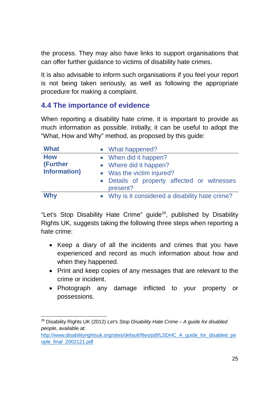the process. They may also have links to support organisations that can offer further guidance to victims of disability hate crimes.

It is also advisable to inform such organisations if you feel your report is not being taken seriously, as well as following the appropriate procedure for making a complaint.

## **4.4 The importance of evidence**

When reporting a disability hate crime, it is important to provide as much information as possible. Initially, it can be useful to adopt the "What, How and Why" method, as proposed by this guide:

| <b>What</b>          | • What happened?                                |
|----------------------|-------------------------------------------------|
| <b>How</b>           | • When did it happen?                           |
| (Further             | • Where did it happen?                          |
| <b>Information</b> ) | • Was the victim injured?                       |
|                      | • Details of property affected or witnesses     |
|                      | present?                                        |
| <b>Why</b>           | • Why is it considered a disability hate crime? |

"Let's Stop Disability Hate Crime" guide<sup>28</sup>, published by Disability Rights UK, suggests taking the following three steps when reporting a hate crime:

- Keep a diary of all the incidents and crimes that you have experienced and record as much information about how and when they happened.
- Print and keep copies of any messages that are relevant to the crime or incident.
- Photograph any damage inflicted to your property or possessions.

<sup>28</sup> Disability Rights UK (2012) *Let's Stop Disability Hate Crime – A guide for disabled people*, available at:

http://www.disabilityrightsuk.org/sites/default/files/pdf/LSDHC\_A\_guide\_for\_disabled\_pe ople\_final\_2002121.pdf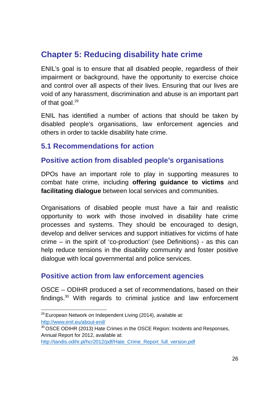# **Chapter 5: Reducing disability hate crime**

ENIL's goal is to ensure that all disabled people, regardless of their impairment or background, have the opportunity to exercise choice and control over all aspects of their lives. Ensuring that our lives are void of any harassment, discrimination and abuse is an important part of that goal.<sup>29</sup>

ENIL has identified a number of actions that should be taken by disabled people's organisations, law enforcement agencies and others in order to tackle disability hate crime.

## **5.1 Recommendations for action**

## **Positive action from disabled people's organisations**

DPOs have an important role to play in supporting measures to combat hate crime, including **offering guidance to victims** and **facilitating dialogue** between local services and communities.

Organisations of disabled people must have a fair and realistic opportunity to work with those involved in disability hate crime processes and systems. They should be encouraged to design, develop and deliver services and support initiatives for victims of hate crime – in the spirit of 'co-production' (see Definitions) - as this can help reduce tensions in the disability community and foster positive dialogue with local governmental and police services.

## **Positive action from law enforcement agencies**

OSCE – ODIHR produced a set of recommendations, based on their findings. <sup>30</sup> With regards to criminal justice and law enforcement

 $29$  European Network on Independent Living (2014), available at: http://www.enil.eu/about-enil/

<sup>&</sup>lt;sup>30</sup> OSCE ODIHR (2013) Hate Crimes in the OSCE Region: Incidents and Responses, Annual Report for 2012, available at:

http://tandis.odihr.pl/hcr2012/pdf/Hate\_Crime\_Report\_full\_version.pdf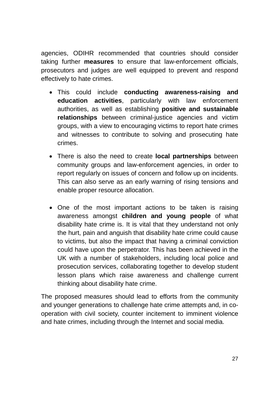agencies, ODIHR recommended that countries should consider taking further **measures** to ensure that law-enforcement officials, prosecutors and judges are well equipped to prevent and respond effectively to hate crimes.

- This could include **conducting awareness-raising and education activities**, particularly with law enforcement authorities, as well as establishing **positive and sustainable relationships** between criminal-justice agencies and victim groups, with a view to encouraging victims to report hate crimes and witnesses to contribute to solving and prosecuting hate crimes.
- There is also the need to create **local partnerships** between community groups and law-enforcement agencies, in order to report regularly on issues of concern and follow up on incidents. This can also serve as an early warning of rising tensions and enable proper resource allocation.
- One of the most important actions to be taken is raising awareness amongst **children and young people** of what disability hate crime is. It is vital that they understand not only the hurt, pain and anguish that disability hate crime could cause to victims, but also the impact that having a criminal conviction could have upon the perpetrator. This has been achieved in the UK with a number of stakeholders, including local police and prosecution services, collaborating together to develop student lesson plans which raise awareness and challenge current thinking about disability hate crime.

The proposed measures should lead to efforts from the community and younger generations to challenge hate crime attempts and, in cooperation with civil society, counter incitement to imminent violence and hate crimes, including through the Internet and social media.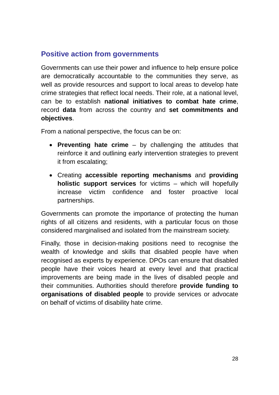## **Positive action from governments**

Governments can use their power and influence to help ensure police are democratically accountable to the communities they serve, as well as provide resources and support to local areas to develop hate crime strategies that reflect local needs. Their role, at a national level, can be to establish **national initiatives to combat hate crime**, record **data** from across the country and **set commitments and objectives**.

From a national perspective, the focus can be on:

- **Preventing hate crime** by challenging the attitudes that reinforce it and outlining early intervention strategies to prevent it from escalating;
- Creating **accessible reporting mechanisms** and **providing holistic support services** for victims – which will hopefully increase victim confidence and foster proactive local partnerships.

Governments can promote the importance of protecting the human rights of all citizens and residents, with a particular focus on those considered marginalised and isolated from the mainstream society.

Finally, those in decision-making positions need to recognise the wealth of knowledge and skills that disabled people have when recognised as experts by experience. DPOs can ensure that disabled people have their voices heard at every level and that practical improvements are being made in the lives of disabled people and their communities. Authorities should therefore **provide funding to organisations of disabled people** to provide services or advocate on behalf of victims of disability hate crime.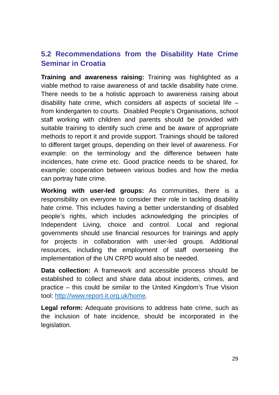## **5.2 Recommendations from the Disability Hate Crime Seminar in Croatia**

**Training and awareness raising:** Training was highlighted as a viable method to raise awareness of and tackle disability hate crime. There needs to be a holistic approach to awareness raising about disability hate crime, which considers all aspects of societal life – from kindergarten to courts. Disabled People's Organisations, school staff working with children and parents should be provided with suitable training to identify such crime and be aware of appropriate methods to report it and provide support. Trainings should be tailored to different target groups, depending on their level of awareness. For example: on the terminology and the difference between hate incidences, hate crime etc. Good practice needs to be shared, for example: cooperation between various bodies and how the media can portray hate crime.

**Working with user-led groups:** As communities, there is a responsibility on everyone to consider their role in tackling disability hate crime. This includes having a better understanding of disabled people's rights, which includes acknowledging the principles of Independent Living, choice and control. Local and regional governments should use financial resources for trainings and apply for projects in collaboration with user-led groups. Additional resources, including the employment of staff overseeing the implementation of the UN CRPD would also be needed.

**Data collection:** A framework and accessible process should be established to collect and share data about incidents, crimes, and practice – this could be similar to the United Kingdom's True Vision tool: http://www.report-it.org.uk/home.

**Legal reform:** Adequate provisions to address hate crime, such as the inclusion of hate incidence, should be incorporated in the legislation.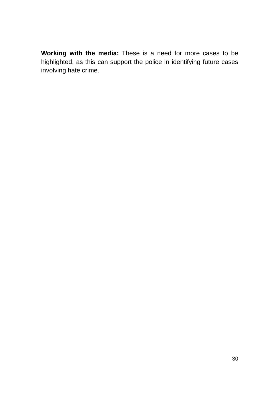**Working with the media:** These is a need for more cases to be highlighted, as this can support the police in identifying future cases involving hate crime.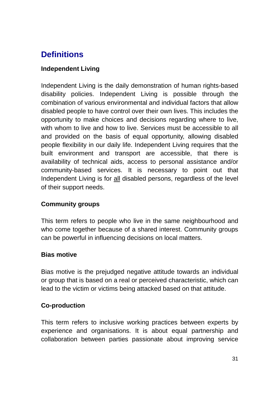# **Definitions**

#### **Independent Living**

Independent Living is the daily demonstration of human rights-based disability policies. Independent Living is possible through the combination of various environmental and individual factors that allow disabled people to have control over their own lives. This includes the opportunity to make choices and decisions regarding where to live, with whom to live and how to live. Services must be accessible to all and provided on the basis of equal opportunity, allowing disabled people flexibility in our daily life. Independent Living requires that the built environment and transport are accessible, that there is availability of technical aids, access to personal assistance and/or community-based services. It is necessary to point out that Independent Living is for all disabled persons, regardless of the level of their support needs.

#### **Community groups**

This term refers to people who live in the same neighbourhood and who come together because of a shared interest. Community groups can be powerful in influencing decisions on local matters.

#### **Bias motive**

Bias motive is the prejudged negative attitude towards an individual or group that is based on a real or perceived characteristic, which can lead to the victim or victims being attacked based on that attitude.

#### **Co-production**

This term refers to inclusive working practices between experts by experience and organisations. It is about equal partnership and collaboration between parties passionate about improving service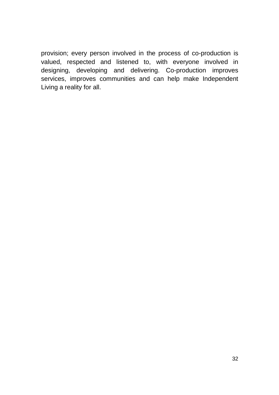provision; every person involved in the process of co-production is valued, respected and listened to, with everyone involved in designing, developing and delivering. Co-production improves services, improves communities and can help make Independent Living a reality for all.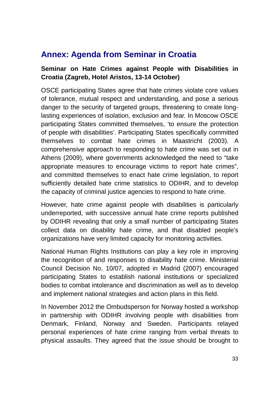## **Annex: Agenda from Seminar in Croatia**

#### **Seminar on Hate Crimes against People with Disabilities in Croatia (Zagreb, Hotel Aristos, 13-14 October)**

OSCE participating States agree that hate crimes violate core values of tolerance, mutual respect and understanding, and pose a serious danger to the security of targeted groups, threatening to create longlasting experiences of isolation, exclusion and fear. In Moscow OSCE participating States committed themselves, 'to ensure the protection of people with disabilities'. Participating States specifically committed themselves to combat hate crimes in Maastricht (2003). A comprehensive approach to responding to hate crime was set out in Athens (2009), where governments acknowledged the need to "take appropriate measures to encourage victims to report hate crimes", and committed themselves to enact hate crime legislation, to report sufficiently detailed hate crime statistics to ODIHR, and to develop the capacity of criminal justice agencies to respond to hate crime.

However, hate crime against people with disabilities is particularly underreported, with successive annual hate crime reports published by ODIHR revealing that only a small number of participating States collect data on disability hate crime, and that disabled people's organizations have very limited capacity for monitoring activities.

National Human Rights Institutions can play a key role in improving the recognition of and responses to disability hate crime. Ministerial Council Decision No. 10/07, adopted in Madrid (2007) encouraged participating States to establish national institutions or specialized bodies to combat intolerance and discrimination as well as to develop and implement national strategies and action plans in this field.

In November 2012 the Ombudsperson for Norway hosted a workshop in partnership with ODIHR involving people with disabilities from Denmark, Finland, Norway and Sweden. Participants relayed personal experiences of hate crime ranging from verbal threats to physical assaults. They agreed that the issue should be brought to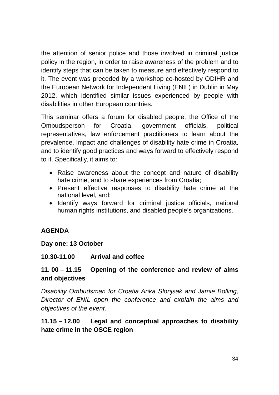the attention of senior police and those involved in criminal justice policy in the region, in order to raise awareness of the problem and to identify steps that can be taken to measure and effectively respond to it. The event was preceded by a workshop co-hosted by ODIHR and the European Network for Independent Living (ENIL) in Dublin in May 2012, which identified similar issues experienced by people with disabilities in other European countries.

This seminar offers a forum for disabled people, the Office of the Ombudsperson for Croatia, government officials, political representatives, law enforcement practitioners to learn about the prevalence, impact and challenges of disability hate crime in Croatia, and to identify good practices and ways forward to effectively respond to it. Specifically, it aims to:

- Raise awareness about the concept and nature of disability hate crime, and to share experiences from Croatia;
- Present effective responses to disability hate crime at the national level, and;
- Identify ways forward for criminal justice officials, national human rights institutions, and disabled people's organizations.

#### **AGENDA**

#### **Day one: 13 October**

#### **10.30-11.00 Arrival and coffee**

#### **11. 00 – 11.15 Opening of the conference and review of aims and objectives**

*Disability Ombudsman for Croatia Anka Slonjsak and Jamie Bolling, Director of ENIL open the conference and explain the aims and objectives of the event.*

#### **11.15 – 12.00 Legal and conceptual approaches to disability hate crime in the OSCE region**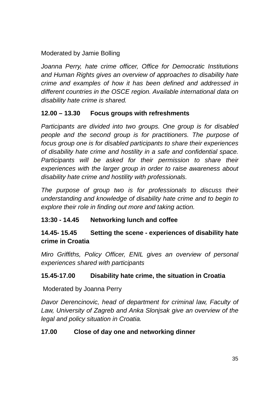Moderated by Jamie Bolling

*Joanna Perry, hate crime officer, Office for Democratic Institutions and Human Rights gives an overview of approaches to disability hate crime and examples of how it has been defined and addressed in different countries in the OSCE region. Available international data on disability hate crime is shared.*

#### **12.00 – 13.30 Focus groups with refreshments**

*Participants are divided into two groups. One group is for disabled people and the second group is for practitioners. The purpose of focus group one is for disabled participants to share their experiences of disability hate crime and hostility in a safe and confidential space. Participants will be asked for their permission to share their experiences with the larger group in order to raise awareness about disability hate crime and hostility with professionals.*

*The purpose of group two is for professionals to discuss their understanding and knowledge of disability hate crime and to begin to explore their role in finding out more and taking action.*

#### **13:30 - 14.45 Networking lunch and coffee**

#### **14.45- 15.45 Setting the scene - experiences of disability hate crime in Croatia**

*Miro Griffiths, Policy Officer, ENIL gives an overview of personal experiences shared with participants*

#### **15.45-17.00 Disability hate crime, the situation in Croatia**

Moderated by Joanna Perry

*Davor Derencinovic, head of department for criminal law, Faculty of Law, University of Zagreb and Anka Slonjsak give an overview of the legal and policy situation in Croatia.*

#### **17.00 Close of day one and networking dinner**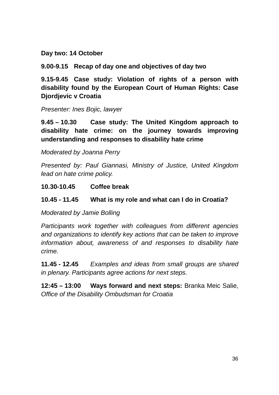**Day two: 14 October**

**9.00-9.15 Recap of day one and objectives of day two**

**9.15-9.45 Case study: Violation of rights of a person with disability found by the European Court of Human Rights: Case Djordjevic v Croatia**

*Presenter: Ines Bojic, lawyer*

**9.45 – 10.30 Case study: The United Kingdom approach to disability hate crime: on the journey towards improving understanding and responses to disability hate crime**

#### *Moderated by Joanna Perry*

*Presented by: Paul Giannasi, Ministry of Justice, United Kingdom lead on hate crime policy.*

#### **10.30-10.45 Coffee break**

#### **10.45 - 11.45 What is my role and what can I do in Croatia?**

*Moderated by Jamie Bolling*

*Participants work together with colleagues from different agencies and organizations to identify key actions that can be taken to improve information about, awareness of and responses to disability hate crime.*

**11.45 - 12.45** *Examples and ideas from small groups are shared in plenary. Participants agree actions for next steps.*

**12:45 – 13:00 Ways forward and next steps:** Branka Meic Salie, *Office of the Disability Ombudsman for Croatia*